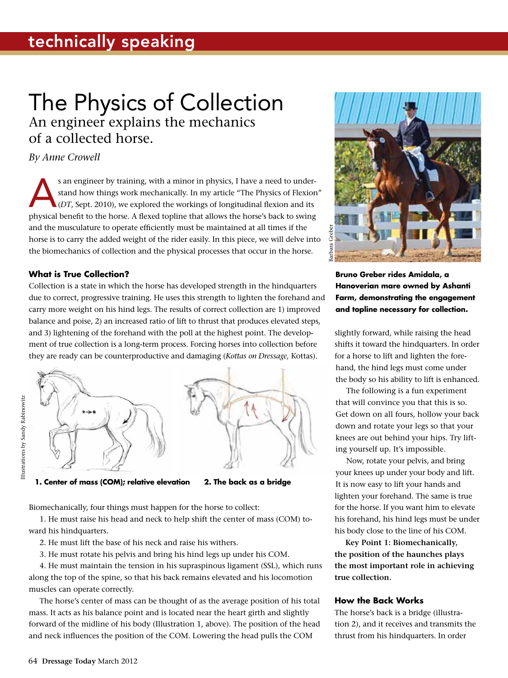# The Physics of Collection An engineer explains the mechanics of a collected horse.

### *By Anne Crowell*

s an engineer by training, with a minor in physics, I have a need to under-<br>stand how things work mechanically. In my article "The Physics of Flexion<br>(*DT*, Sept. 2010), we explored the workings of longitudinal flexion and stand how things work mechanically. In my article "The Physics of Flexion" (*DT*, Sept. 2010), we explored the workings of longitudinal flexion and its physical benefit to the horse. A flexed topline that allows the horse's back to swing and the musculature to operate efficiently must be maintained at all times if the horse is to carry the added weight of the rider easily. In this piece, we will delve into the biomechanics of collection and the physical processes that occur in the horse.

#### **What is True Collection?**

Collection is a state in which the horse has developed strength in the hindquarters due to correct, progressive training. He uses this strength to lighten the forehand and carry more weight on his hind legs. The results of correct collection are 1) improved balance and poise, 2) an increased ratio of lift to thrust that produces elevated steps, and 3) lightening of the forehand with the poll at the highest point. The development of true collection is a long-term process. Forcing horses into collection before they are ready can be counterproductive and damaging (*Kottas on Dressage,* Kottas).



**1. Center of mass (COM); relative elevation 2. The back as a bridge** 

Biomechanically, four things must happen for the horse to collect:

1. He must raise his head and neck to help shift the center of mass (COM) toward his hindquarters.

- 2. He must lift the base of his neck and raise his withers.
- 3. He must rotate his pelvis and bring his hind legs up under his COM.

4. He must maintain the tension in his supraspinous ligament (SSL), which runs along the top of the spine, so that his back remains elevated and his locomotion muscles can operate correctly.

The horse's center of mass can be thought of as the average position of his total mass. It acts as his balance point and is located near the heart girth and slightly forward of the midline of his body (Illustration 1, above). The position of the head and neck influences the position of the COM. Lowering the head pulls the COM



**Bruno Greber rides Amidala, a Hanoverian mare owned by Ashanti Farm, demonstrating the engagement and topline necessary for collection.** 

slightly forward, while raising the head shifts it toward the hindquarters. In order for a horse to lift and lighten the forehand, the hind legs must come under the body so his ability to lift is enhanced.

The following is a fun experiment that will convince you that this is so. Get down on all fours, hollow your back down and rotate your legs so that your knees are out behind your hips. Try lifting yourself up. It's impossible.

Now, rotate your pelvis, and bring your knees up under your body and lift. It is now easy to lift your hands and lighten your forehand. The same is true for the horse. If you want him to elevate his forehand, his hind legs must be under his body close to the line of his COM.

**Key Point 1: Biomechanically, the position of the haunches plays the most important role in achieving true collection.**

#### **How the Back Works**

The horse's back is a bridge (illustration 2), and it receives and transmits the thrust from his hindquarters. In order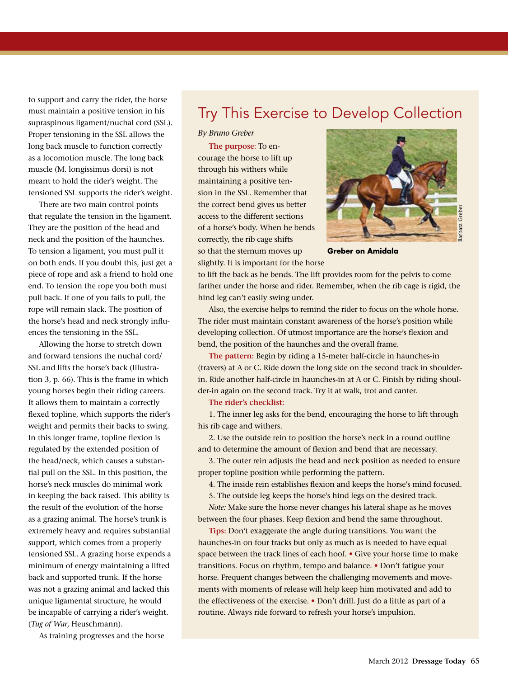to support and carry the rider, the horse must maintain a positive tension in his supraspinous ligament/nuchal cord (SSL). Proper tensioning in the SSL allows the long back muscle to function correctly as a locomotion muscle. The long back muscle (M. longissimus dorsi) is not meant to hold the rider's weight. The tensioned SSL supports the rider's weight.

There are two main control points that regulate the tension in the ligament. They are the position of the head and neck and the position of the haunches. To tension a ligament, you must pull it on both ends. If you doubt this, just get a piece of rope and ask a friend to hold one end. To tension the rope you both must pull back. If one of you fails to pull, the rope will remain slack. The position of the horse's head and neck strongly influences the tensioning in the SSL.

Allowing the horse to stretch down and forward tensions the nuchal cord/ SSL and lifts the horse's back (Illustration 3, p. 66). This is the frame in which young horses begin their riding careers. It allows them to maintain a correctly flexed topline, which supports the rider's weight and permits their backs to swing. In this longer frame, topline flexion is regulated by the extended position of the head/neck, which causes a substantial pull on the SSL. In this position, the horse's neck muscles do minimal work in keeping the back raised. This ability is the result of the evolution of the horse as a grazing animal. The horse's trunk is extremely heavy and requires substantial support, which comes from a properly tensioned SSL. A grazing horse expends a minimum of energy maintaining a lifted back and supported trunk. If the horse was not a grazing animal and lacked this unique ligamental structure, he would be incapable of carrying a rider's weight. (*Tug of War*, Heuschmann).

As training progresses and the horse

## Try This Exercise to Develop Collection

#### *By Bruno Greber*

**The purpose**: To encourage the horse to lift up through his withers while maintaining a positive tension in the SSL. Remember that the correct bend gives us better access to the different sections of a horse's body. When he bends correctly, the rib cage shifts so that the sternum moves up slightly. It is important for the horse



**Greber on Amidala**

to lift the back as he bends. The lift provides room for the pelvis to come farther under the horse and rider. Remember, when the rib cage is rigid, the hind leg can't easily swing under.

Also, the exercise helps to remind the rider to focus on the whole horse. The rider must maintain constant awareness of the horse's position while developing collection. Of utmost importance are the horse's flexion and bend, the position of the haunches and the overall frame.

**The pattern:** Begin by riding a 15-meter half-circle in haunches-in (travers) at A or C. Ride down the long side on the second track in shoulderin. Ride another half-circle in haunches-in at A or C. Finish by riding shoulder-in again on the second track. Try it at walk, trot and canter.

**The rider's checklist:** 

1. The inner leg asks for the bend, encouraging the horse to lift through his rib cage and withers.

2. Use the outside rein to position the horse's neck in a round outline and to determine the amount of flexion and bend that are necessary.

3. The outer rein adjusts the head and neck position as needed to ensure proper topline position while performing the pattern.

4. The inside rein establishes flexion and keeps the horse's mind focused.

5. The outside leg keeps the horse's hind legs on the desired track.

*Note:* Make sure the horse never changes his lateral shape as he moves between the four phases. Keep flexion and bend the same throughout.

**Tips:** Don't exaggerate the angle during transitions. You want the haunches-in on four tracks but only as much as is needed to have equal space between the track lines of each hoof. **•** Give your horse time to make transitions. Focus on rhythm, tempo and balance. **•** Don't fatigue your horse. Frequent changes between the challenging movements and movements with moments of release will help keep him motivated and add to the effectiveness of the exercise. **•** Don't drill. Just do a little as part of a routine. Always ride forward to refresh your horse's impulsion.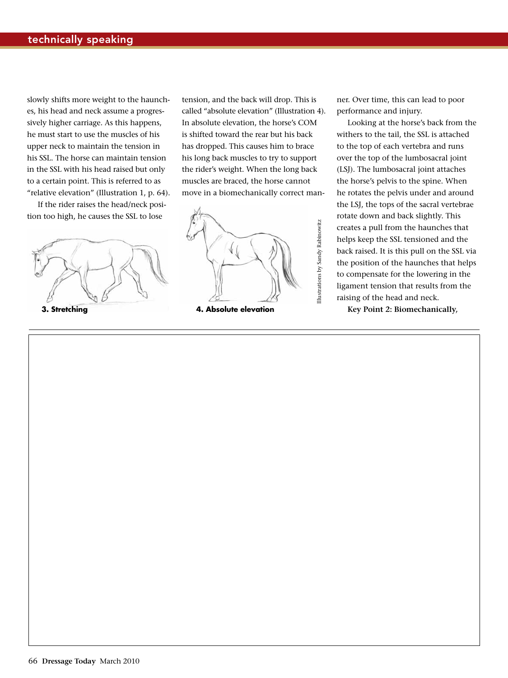slowly shifts more weight to the haunches, his head and neck assume a progressively higher carriage. As this happens, he must start to use the muscles of his upper neck to maintain the tension in his SSL. The horse can maintain tension in the SSL with his head raised but only to a certain point. This is referred to as "relative elevation" (Illustration 1, p. 64).

If the rider raises the head/neck position too high, he causes the SSL to lose



tension, and the back will drop. This is called "absolute elevation" (Illustration 4). In absolute elevation, the horse's COM is shifted toward the rear but his back has dropped. This causes him to brace his long back muscles to try to support the rider's weight. When the long back muscles are braced, the horse cannot move in a biomechanically correct man-



ner. Over time, this can lead to poor performance and injury.

Looking at the horse's back from the withers to the tail, the SSL is attached to the top of each vertebra and runs over the top of the lumbosacral joint (LSJ). The lumbosacral joint attaches the horse's pelvis to the spine. When he rotates the pelvis under and around the LSJ, the tops of the sacral vertebrae rotate down and back slightly. This creates a pull from the haunches that helps keep the SSL tensioned and the back raised. It is this pull on the SSL via the position of the haunches that helps to compensate for the lowering in the ligament tension that results from the raising of the head and neck.